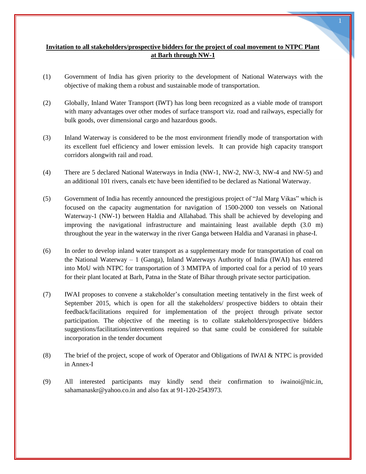# **Invitation to all stakeholders/prospective bidders for the project of coal movement to NTPC Plant at Barh through NW-1**

- (1) Government of India has given priority to the development of National Waterways with the objective of making them a robust and sustainable mode of transportation.
- (2) Globally, Inland Water Transport (IWT) has long been recognized as a viable mode of transport with many advantages over other modes of surface transport viz. road and railways, especially for bulk goods, over dimensional cargo and hazardous goods.
- (3) Inland Waterway is considered to be the most environment friendly mode of transportation with its excellent fuel efficiency and lower emission levels. It can provide high capacity transport corridors alongwith rail and road.
- (4) There are 5 declared National Waterways in India (NW-1, NW-2, NW-3, NW-4 and NW-5) and an additional 101 rivers, canals etc have been identified to be declared as National Waterway.
- (5) Government of India has recently announced the prestigious project of "Jal Marg Vikas" which is focused on the capacity augmentation for navigation of 1500-2000 ton vessels on National Waterway-1 (NW-1) between Haldia and Allahabad. This shall be achieved by developing and improving the navigational infrastructure and maintaining least available depth (3.0 m) throughout the year in the waterway in the river Ganga between Haldia and Varanasi in phase-I.
- (6) In order to develop inland water transport as a supplementary mode for transportation of coal on the National Waterway – 1 (Ganga), Inland Waterways Authority of India (IWAI) has entered into MoU with NTPC for transportation of 3 MMTPA of imported coal for a period of 10 years for their plant located at Barh, Patna in the State of Bihar through private sector participation.
- (7) IWAI proposes to convene a stakeholder"s consultation meeting tentatively in the first week of September 2015, which is open for all the stakeholders/ prospective bidders to obtain their feedback/facilitations required for implementation of the project through private sector participation. The objective of the meeting is to collate stakeholders/prospective bidders suggestions/facilitations/interventions required so that same could be considered for suitable incorporation in the tender document
- (8) The brief of the project, scope of work of Operator and Obligations of IWAI & NTPC is provided in Annex-I
- (9) All interested participants may kindly send their confirmation to [iwainoi@nic.in,](mailto:iwainoi@nic.in) sahamanaskr@yahoo.co.in and also fax at 91-120-2543973.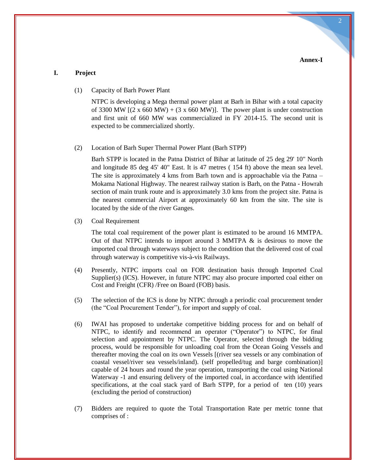### **I. Project**

(1) Capacity of Barh Power Plant

NTPC is developing a Mega thermal power plant at Barh in Bihar with a total capacity of 3300 MW  $[(2 \times 660 \text{ MW}) + (3 \times 660 \text{ MW})]$ . The power plant is under construction and first unit of 660 MW was commercialized in FY 2014-15. The second unit is expected to be commercialized shortly.

(2) Location of Barh Super Thermal Power Plant (Barh STPP)

Barh STPP is located in the Patna District of Bihar at latitude of 25 deg 29' 10'' North and longitude 85 deg 45' 40" East. It is 47 metres ( 154 ft) above the mean sea level. The site is approximately 4 kms from Barh town and is approachable via the Patna – Mokama National Highway. The nearest railway station is Barh, on the Patna - Howrah section of main trunk route and is approximately 3.0 kms from the project site. Patna is the nearest commercial Airport at approximately 60 km from the site. The site is located by the side of the river Ganges.

(3) Coal Requirement

The total coal requirement of the power plant is estimated to be around 16 MMTPA. Out of that NTPC intends to import around  $3$  MMTPA  $\&$  is desirous to move the imported coal through waterways subject to the condition that the delivered cost of coal through waterway is competitive vis-à-vis Railways.

- (4) Presently, NTPC imports coal on FOR destination basis through Imported Coal Supplier(s) (ICS). However, in future NTPC may also procure imported coal either on Cost and Freight (CFR) /Free on Board (FOB) basis.
- (5) The selection of the ICS is done by NTPC through a periodic coal procurement tender (the "Coal Procurement Tender"), for import and supply of coal.
- (6) IWAI has proposed to undertake competitive bidding process for and on behalf of NTPC, to identify and recommend an operator ("Operator") to NTPC, for final selection and appointment by NTPC. The Operator, selected through the bidding process, would be responsible for unloading coal from the Ocean Going Vessels and thereafter moving the coal on its own Vessels [(river sea vessels or any combination of coastal vessel/river sea vessels/inland). (self propelled/tug and barge combination)] capable of 24 hours and round the year operation, transporting the coal using National Waterway -1 and ensuring delivery of the imported coal, in accordance with identified specifications, at the coal stack yard of Barh STPP, for a period of ten (10) years (excluding the period of construction)
- (7) Bidders are required to quote the Total Transportation Rate per metric tonne that comprises of :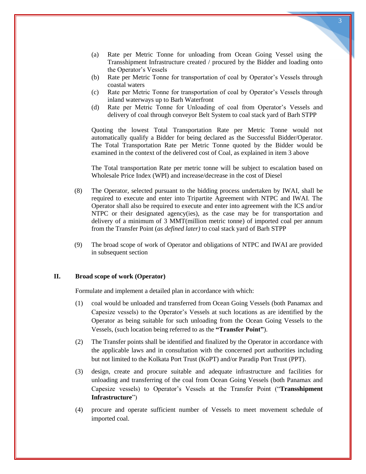- (a) Rate per Metric Tonne for unloading from Ocean Going Vessel using the Transshipment Infrastructure created / procured by the Bidder and loading onto the Operator"s Vessels
- (b) Rate per Metric Tonne for transportation of coal by Operator"s Vessels through coastal waters
- (c) Rate per Metric Tonne for transportation of coal by Operator"s Vessels through inland waterways up to Barh Waterfront
- (d) Rate per Metric Tonne for Unloading of coal from Operator"s Vessels and delivery of coal through conveyor Belt System to coal stack yard of Barh STPP

Quoting the lowest Total Transportation Rate per Metric Tonne would not automatically qualify a Bidder for being declared as the Successful Bidder/Operator. The Total Transportation Rate per Metric Tonne quoted by the Bidder would be examined in the context of the delivered cost of Coal, as explained in item 3 above

The Total transportation Rate per metric tonne will be subject to escalation based on Wholesale Price Index (WPI) and increase/decrease in the cost of Diesel

- (8) The Operator, selected pursuant to the bidding process undertaken by IWAI, shall be required to execute and enter into Tripartite Agreement with NTPC and IWAI. The Operator shall also be required to execute and enter into agreement with the ICS and/or NTPC or their designated agency(ies), as the case may be for transportation and delivery of a minimum of 3 MMT(million metric tonne) of imported coal per annum from the Transfer Point (*as defined later)* to coal stack yard of Barh STPP
- (9) The broad scope of work of Operator and obligations of NTPC and IWAI are provided in subsequent section

## **II. Broad scope of work (Operator)**

Formulate and implement a detailed plan in accordance with which:

- (1) coal would be unloaded and transferred from Ocean Going Vessels (both Panamax and Capesize vessels) to the Operator"s Vessels at such locations as are identified by the Operator as being suitable for such unloading from the Ocean Going Vessels to the Vessels, (such location being referred to as the **"Transfer Point"**).
- (2) The Transfer points shall be identified and finalized by the Operator in accordance with the applicable laws and in consultation with the concerned port authorities including but not limited to the Kolkata Port Trust (KoPT) and/or Paradip Port Trust (PPT).
- (3) design, create and procure suitable and adequate infrastructure and facilities for unloading and transferring of the coal from Ocean Going Vessels (both Panamax and Capesize vessels) to Operator"s Vessels at the Transfer Point ("**Transshipment Infrastructure**")
- (4) procure and operate sufficient number of Vessels to meet movement schedule of imported coal.

3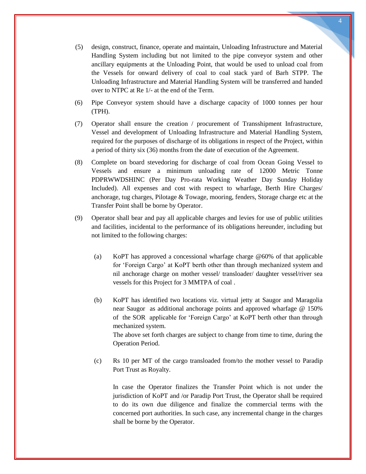- (5) design, construct, finance, operate and maintain, Unloading Infrastructure and Material Handling System including but not limited to the pipe conveyor system and other ancillary equipments at the Unloading Point, that would be used to unload coal from the Vessels for onward delivery of coal to coal stack yard of Barh STPP. The Unloading Infrastructure and Material Handling System will be transferred and handed over to NTPC at Re 1/- at the end of the Term.
- (6) Pipe Conveyor system should have a discharge capacity of 1000 tonnes per hour (TPH).
- (7) Operator shall ensure the creation / procurement of Transshipment Infrastructure, Vessel and development of Unloading Infrastructure and Material Handling System, required for the purposes of discharge of its obligations in respect of the Project, within a period of thirty six (36) months from the date of execution of the Agreement.
- (8) Complete on board stevedoring for discharge of coal from Ocean Going Vessel to Vessels and ensure a minimum unloading rate of 12000 Metric Tonne PDPRWWDSHINC (Per Day Pro-rata Working Weather Day Sunday Holiday Included). All expenses and cost with respect to wharfage, Berth Hire Charges/ anchorage, tug charges, Pilotage & Towage, mooring, fenders, Storage charge etc at the Transfer Point shall be borne by Operator.
- (9) Operator shall bear and pay all applicable charges and levies for use of public utilities and facilities, incidental to the performance of its obligations hereunder, including but not limited to the following charges:
	- (a) KoPT has approved a concessional wharfage charge @60% of that applicable for "Foreign Cargo" at KoPT berth other than through mechanized system and nil anchorage charge on mother vessel/ transloader/ daughter vessel/river sea vessels for this Project for 3 MMTPA of coal .
	- (b) KoPT has identified two locations viz. virtual jetty at Saugor and Maragolia near Saugor as additional anchorage points and approved wharfage @ 150% of the SOR applicable for "Foreign Cargo" at KoPT berth other than through mechanized system. The above set forth charges are subject to change from time to time, during the Operation Period.
	- (c) Rs 10 per MT of the cargo transloaded from/to the mother vessel to Paradip Port Trust as Royalty.

In case the Operator finalizes the Transfer Point which is not under the jurisdiction of KoPT and /or Paradip Port Trust, the Operator shall be required to do its own due diligence and finalize the commercial terms with the concerned port authorities. In such case, any incremental change in the charges shall be borne by the Operator.

4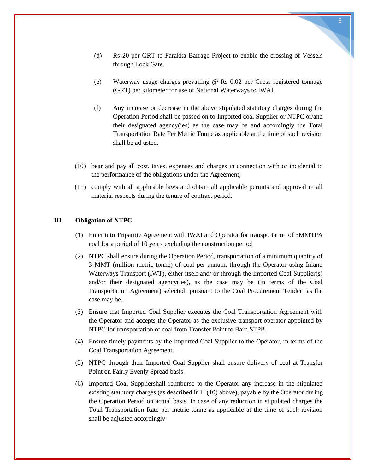- (d) Rs 20 per GRT to Farakka Barrage Project to enable the crossing of Vessels through Lock Gate.
- (e) Waterway usage charges prevailing @ Rs 0.02 per Gross registered tonnage (GRT) per kilometer for use of National Waterways to IWAI.
- (f) Any increase or decrease in the above stipulated statutory charges during the Operation Period shall be passed on to Imported coal Supplier or NTPC or/and their designated agency(ies) as the case may be and accordingly the Total Transportation Rate Per Metric Tonne as applicable at the time of such revision shall be adjusted.
- (10) bear and pay all cost, taxes, expenses and charges in connection with or incidental to the performance of the obligations under the Agreement;
- (11) comply with all applicable laws and obtain all applicable permits and approval in all material respects during the tenure of contract period.

## **III. Obligation of NTPC**

- (1) Enter into Tripartite Agreement with IWAI and Operator for transportation of 3MMTPA coal for a period of 10 years excluding the construction period
- (2) NTPC shall ensure during the Operation Period, transportation of a minimum quantity of 3 MMT (million metric tonne) of coal per annum, through the Operator using Inland Waterways Transport (IWT), either itself and/ or through the Imported Coal Supplier(s) and/or their designated agency(ies), as the case may be (in terms of the Coal Transportation Agreement) selected pursuant to the Coal Procurement Tender as the case may be.
- (3) Ensure that Imported Coal Supplier executes the Coal Transportation Agreement with the Operator and accepts the Operator as the exclusive transport operator appointed by NTPC for transportation of coal from Transfer Point to Barh STPP.
- (4) Ensure timely payments by the Imported Coal Supplier to the Operator, in terms of the Coal Transportation Agreement.
- (5) NTPC through their Imported Coal Supplier shall ensure delivery of coal at Transfer Point on Fairly Evenly Spread basis.
- (6) Imported Coal Suppliershall reimburse to the Operator any increase in the stipulated existing statutory charges (as described in II (10) above), payable by the Operator during the Operation Period on actual basis. In case of any reduction in stipulated charges the Total Transportation Rate per metric tonne as applicable at the time of such revision shall be adjusted accordingly